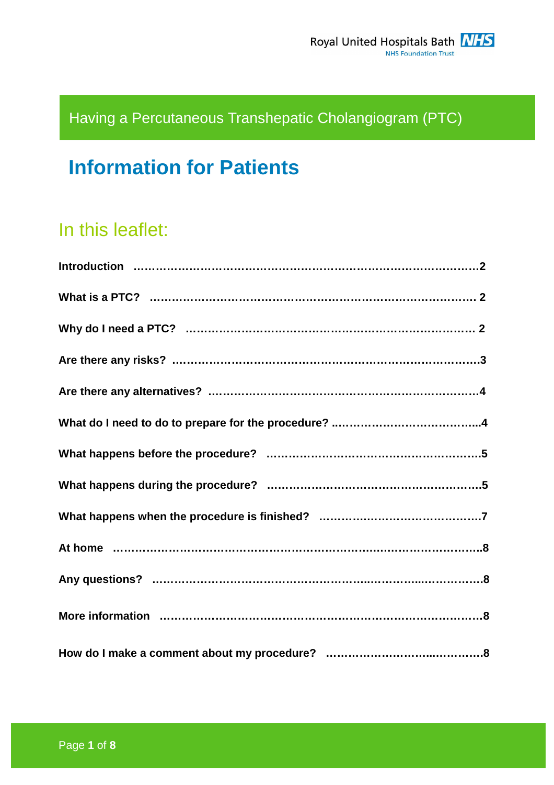## Having a Percutaneous Transhepatic Cholangiogram (PTC)

# **Information for Patients**

## In this leaflet: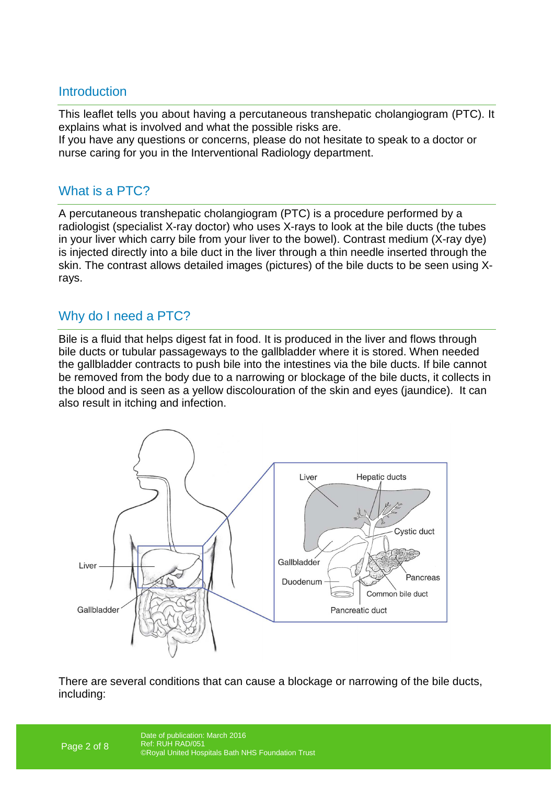## **Introduction**

This leaflet tells you about having a percutaneous transhepatic cholangiogram (PTC). It explains what is involved and what the possible risks are. If you have any questions or concerns, please do not hesitate to speak to a doctor or nurse caring for you in the Interventional Radiology department.

## What is a PTC?

A percutaneous transhepatic cholangiogram (PTC) is a procedure performed by a radiologist (specialist X-ray doctor) who uses X-rays to look at the bile ducts (the tubes in your liver which carry bile from your liver to the bowel). Contrast medium (X-ray dye) is injected directly into a bile duct in the liver through a thin needle inserted through the skin. The contrast allows detailed images (pictures) of the bile ducts to be seen using Xrays.

## Why do I need a PTC?

Bile is a fluid that helps digest fat in food. It is produced in the liver and flows through bile ducts or tubular passageways to the gallbladder where it is stored. When needed the gallbladder contracts to push bile into the intestines via the bile ducts. If bile cannot be removed from the body due to a narrowing or blockage of the bile ducts, it collects in the blood and is seen as a yellow discolouration of the skin and eyes (jaundice). It can also result in itching and infection.



There are several conditions that can cause a blockage or narrowing of the bile ducts, including: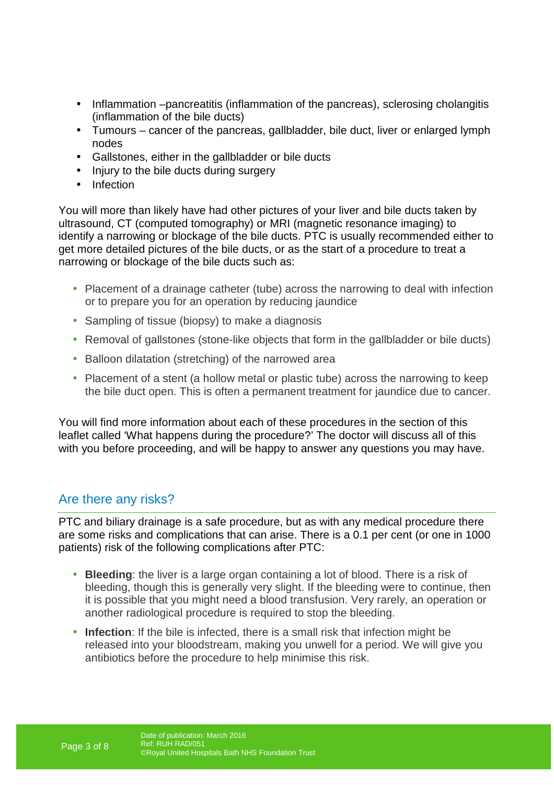- Inflammation –pancreatitis (inflammation of the pancreas), sclerosing cholangitis (inflammation of the bile ducts)
- Tumours cancer of the pancreas, gallbladder, bile duct, liver or enlarged lymph nodes
- Gallstones, either in the gallbladder or bile ducts
- Injury to the bile ducts during surgery
- Infection

You will more than likely have had other pictures of your liver and bile ducts taken by ultrasound, CT (computed tomography) or MRI (magnetic resonance imaging) to identify a narrowing or blockage of the bile ducts. PTC is usually recommended either to get more detailed pictures of the bile ducts, or as the start of a procedure to treat a narrowing or blockage of the bile ducts such as:

- Placement of a drainage catheter (tube) across the narrowing to deal with infection or to prepare you for an operation by reducing jaundice
- Sampling of tissue (biopsy) to make a diagnosis
- Removal of gallstones (stone-like objects that form in the gallbladder or bile ducts)
- Balloon dilatation (stretching) of the narrowed area
- Placement of a stent (a hollow metal or plastic tube) across the narrowing to keep the bile duct open. This is often a permanent treatment for jaundice due to cancer.

You will find more information about each of these procedures in the section of this leaflet called 'What happens during the procedure?' The doctor will discuss all of this with you before proceeding, and will be happy to answer any questions you may have.

## Are there any risks?

PTC and biliary drainage is a safe procedure, but as with any medical procedure there are some risks and complications that can arise. There is a 0.1 per cent (or one in 1000 patients) risk of the following complications after PTC:

- **Bleeding**: the liver is a large organ containing a lot of blood. There is a risk of bleeding, though this is generally very slight. If the bleeding were to continue, then it is possible that you might need a blood transfusion. Very rarely, an operation or another radiological procedure is required to stop the bleeding.
- **Infection**: If the bile is infected, there is a small risk that infection might be released into your bloodstream, making you unwell for a period. We will give you antibiotics before the procedure to help minimise this risk.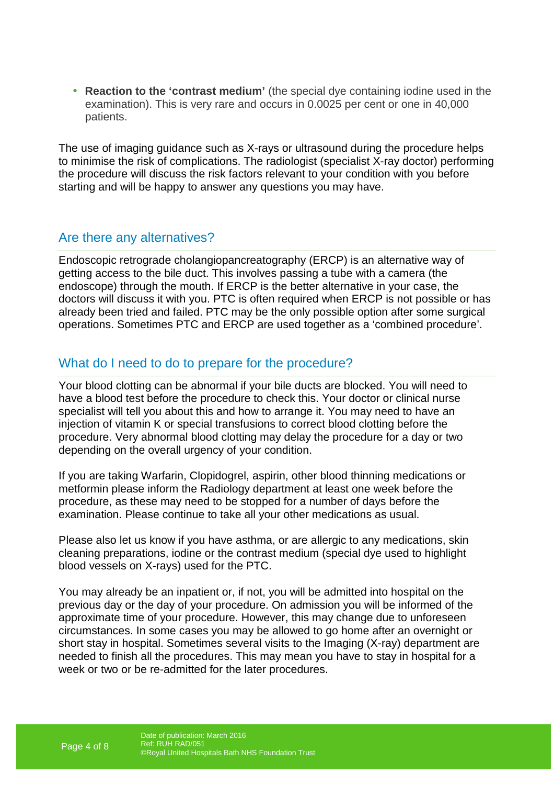• **Reaction to the 'contrast medium'** (the special dye containing iodine used in the examination). This is very rare and occurs in 0.0025 per cent or one in 40,000 patients.

The use of imaging guidance such as X-rays or ultrasound during the procedure helps to minimise the risk of complications. The radiologist (specialist X-ray doctor) performing the procedure will discuss the risk factors relevant to your condition with you before starting and will be happy to answer any questions you may have.

## Are there any alternatives?

Endoscopic retrograde cholangiopancreatography (ERCP) is an alternative way of getting access to the bile duct. This involves passing a tube with a camera (the endoscope) through the mouth. If ERCP is the better alternative in your case, the doctors will discuss it with you. PTC is often required when ERCP is not possible or has already been tried and failed. PTC may be the only possible option after some surgical operations. Sometimes PTC and ERCP are used together as a 'combined procedure'.

## What do I need to do to prepare for the procedure?

Your blood clotting can be abnormal if your bile ducts are blocked. You will need to have a blood test before the procedure to check this. Your doctor or clinical nurse specialist will tell you about this and how to arrange it. You may need to have an injection of vitamin K or special transfusions to correct blood clotting before the procedure. Very abnormal blood clotting may delay the procedure for a day or two depending on the overall urgency of your condition.

If you are taking Warfarin, Clopidogrel, aspirin, other blood thinning medications or metformin please inform the Radiology department at least one week before the procedure, as these may need to be stopped for a number of days before the examination. Please continue to take all your other medications as usual.

Please also let us know if you have asthma, or are allergic to any medications, skin cleaning preparations, iodine or the contrast medium (special dye used to highlight blood vessels on X-rays) used for the PTC.

You may already be an inpatient or, if not, you will be admitted into hospital on the previous day or the day of your procedure. On admission you will be informed of the approximate time of your procedure. However, this may change due to unforeseen circumstances. In some cases you may be allowed to go home after an overnight or short stay in hospital. Sometimes several visits to the Imaging (X-ray) department are needed to finish all the procedures. This may mean you have to stay in hospital for a week or two or be re-admitted for the later procedures.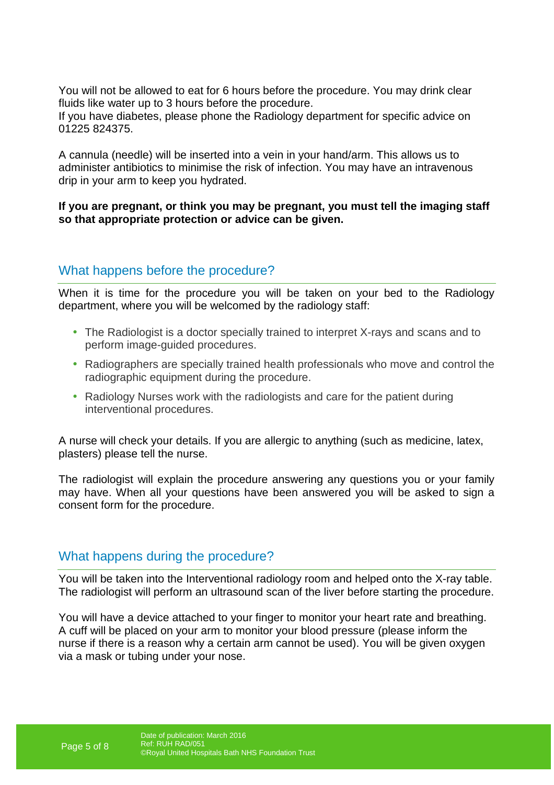You will not be allowed to eat for 6 hours before the procedure. You may drink clear fluids like water up to 3 hours before the procedure.

If you have diabetes, please phone the Radiology department for specific advice on 01225 824375.

A cannula (needle) will be inserted into a vein in your hand/arm. This allows us to administer antibiotics to minimise the risk of infection. You may have an intravenous drip in your arm to keep you hydrated.

**If you are pregnant, or think you may be pregnant, you must tell the imaging staff so that appropriate protection or advice can be given.** 

## What happens before the procedure?

When it is time for the procedure you will be taken on your bed to the Radiology department, where you will be welcomed by the radiology staff:

- The Radiologist is a doctor specially trained to interpret X-rays and scans and to perform image-guided procedures.
- Radiographers are specially trained health professionals who move and control the radiographic equipment during the procedure.
- Radiology Nurses work with the radiologists and care for the patient during interventional procedures.

A nurse will check your details. If you are allergic to anything (such as medicine, latex, plasters) please tell the nurse.

The radiologist will explain the procedure answering any questions you or your family may have. When all your questions have been answered you will be asked to sign a consent form for the procedure.

## What happens during the procedure?

You will be taken into the Interventional radiology room and helped onto the X-ray table. The radiologist will perform an ultrasound scan of the liver before starting the procedure.

You will have a device attached to your finger to monitor your heart rate and breathing. A cuff will be placed on your arm to monitor your blood pressure (please inform the nurse if there is a reason why a certain arm cannot be used). You will be given oxygen via a mask or tubing under your nose.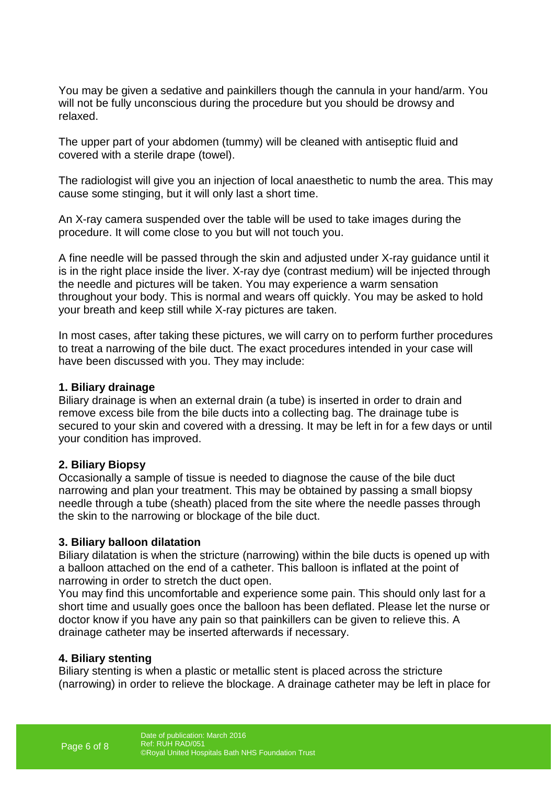You may be given a sedative and painkillers though the cannula in your hand/arm. You will not be fully unconscious during the procedure but you should be drowsy and relaxed.

The upper part of your abdomen (tummy) will be cleaned with antiseptic fluid and covered with a sterile drape (towel).

The radiologist will give you an injection of local anaesthetic to numb the area. This may cause some stinging, but it will only last a short time.

An X-ray camera suspended over the table will be used to take images during the procedure. It will come close to you but will not touch you.

A fine needle will be passed through the skin and adjusted under X-ray guidance until it is in the right place inside the liver. X-ray dye (contrast medium) will be injected through the needle and pictures will be taken. You may experience a warm sensation throughout your body. This is normal and wears off quickly. You may be asked to hold your breath and keep still while X-ray pictures are taken.

In most cases, after taking these pictures, we will carry on to perform further procedures to treat a narrowing of the bile duct. The exact procedures intended in your case will have been discussed with you. They may include:

#### **1. Biliary drainage**

Biliary drainage is when an external drain (a tube) is inserted in order to drain and remove excess bile from the bile ducts into a collecting bag. The drainage tube is secured to your skin and covered with a dressing. It may be left in for a few days or until your condition has improved.

#### **2. Biliary Biopsy**

Occasionally a sample of tissue is needed to diagnose the cause of the bile duct narrowing and plan your treatment. This may be obtained by passing a small biopsy needle through a tube (sheath) placed from the site where the needle passes through the skin to the narrowing or blockage of the bile duct.

#### **3. Biliary balloon dilatation**

Biliary dilatation is when the stricture (narrowing) within the bile ducts is opened up with a balloon attached on the end of a catheter. This balloon is inflated at the point of narrowing in order to stretch the duct open.

You may find this uncomfortable and experience some pain. This should only last for a short time and usually goes once the balloon has been deflated. Please let the nurse or doctor know if you have any pain so that painkillers can be given to relieve this. A drainage catheter may be inserted afterwards if necessary.

#### **4. Biliary stenting**

Biliary stenting is when a plastic or metallic stent is placed across the stricture (narrowing) in order to relieve the blockage. A drainage catheter may be left in place for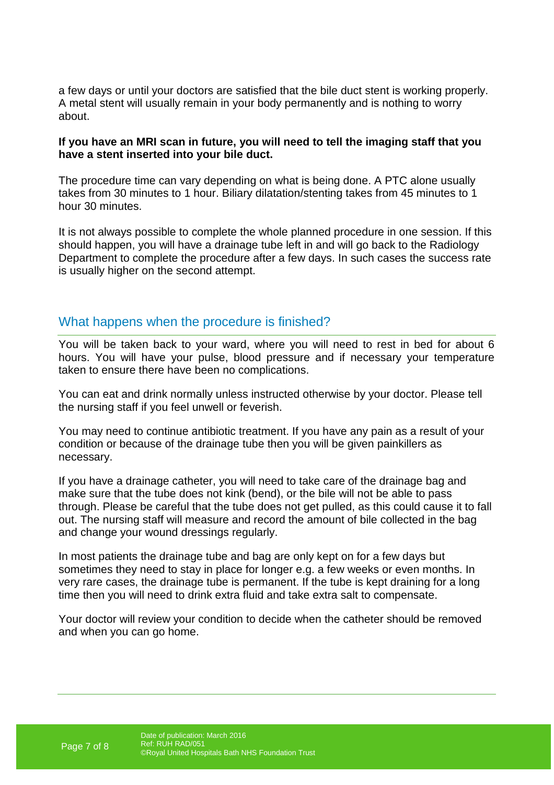a few days or until your doctors are satisfied that the bile duct stent is working properly. A metal stent will usually remain in your body permanently and is nothing to worry about.

#### **If you have an MRI scan in future, you will need to tell the imaging staff that you have a stent inserted into your bile duct.**

The procedure time can vary depending on what is being done. A PTC alone usually takes from 30 minutes to 1 hour. Biliary dilatation/stenting takes from 45 minutes to 1 hour 30 minutes.

It is not always possible to complete the whole planned procedure in one session. If this should happen, you will have a drainage tube left in and will go back to the Radiology Department to complete the procedure after a few days. In such cases the success rate is usually higher on the second attempt.

## What happens when the procedure is finished?

You will be taken back to your ward, where you will need to rest in bed for about 6 hours. You will have your pulse, blood pressure and if necessary your temperature taken to ensure there have been no complications.

You can eat and drink normally unless instructed otherwise by your doctor. Please tell the nursing staff if you feel unwell or feverish.

You may need to continue antibiotic treatment. If you have any pain as a result of your condition or because of the drainage tube then you will be given painkillers as necessary.

If you have a drainage catheter, you will need to take care of the drainage bag and make sure that the tube does not kink (bend), or the bile will not be able to pass through. Please be careful that the tube does not get pulled, as this could cause it to fall out. The nursing staff will measure and record the amount of bile collected in the bag and change your wound dressings regularly.

In most patients the drainage tube and bag are only kept on for a few days but sometimes they need to stay in place for longer e.g. a few weeks or even months. In very rare cases, the drainage tube is permanent. If the tube is kept draining for a long time then you will need to drink extra fluid and take extra salt to compensate.

Your doctor will review your condition to decide when the catheter should be removed and when you can go home.